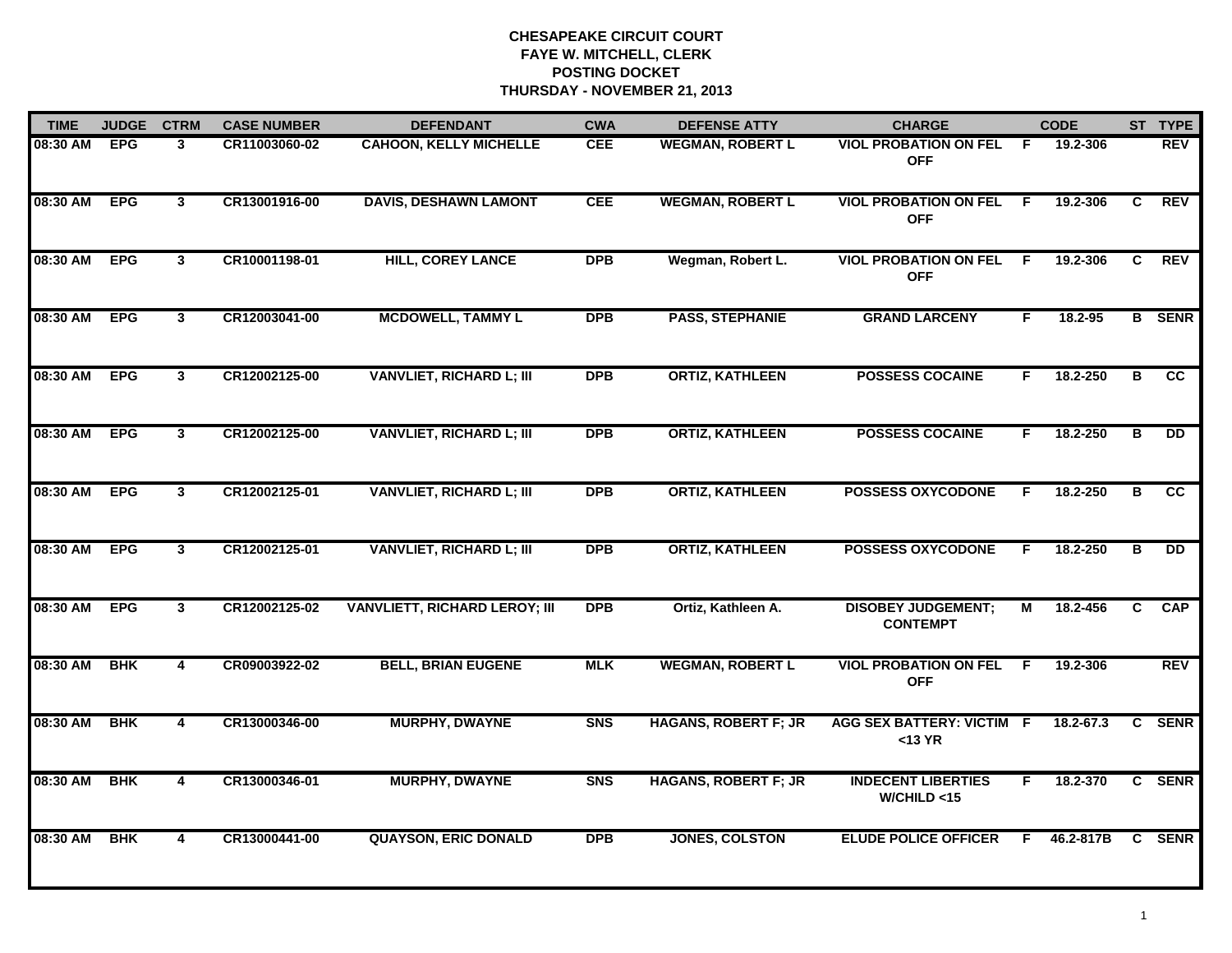| <b>TIME</b> | <b>JUDGE</b> | <b>CTRM</b>  | <b>CASE NUMBER</b> | <b>DEFENDANT</b>                     | <b>CWA</b>     | <b>DEFENSE ATTY</b>         | <b>CHARGE</b>                                 |    | <b>CODE</b>   |    | ST TYPE       |
|-------------|--------------|--------------|--------------------|--------------------------------------|----------------|-----------------------------|-----------------------------------------------|----|---------------|----|---------------|
| 08:30 AM    | <b>EPG</b>   | 3            | CR11003060-02      | <b>CAHOON, KELLY MICHELLE</b>        | <b>CEE</b>     | <b>WEGMAN, ROBERT L</b>     | <b>VIOL PROBATION ON FEL</b><br><b>OFF</b>    | -F | 19.2-306      |    | <b>REV</b>    |
| 08:30 AM    | <b>EPG</b>   | 3            | CR13001916-00      | <b>DAVIS, DESHAWN LAMONT</b>         | <b>CEE</b>     | <b>WEGMAN, ROBERT L</b>     | <b>VIOL PROBATION ON FEL</b><br><b>OFF</b>    | E  | 19.2-306      | C  | <b>REV</b>    |
| 08:30 AM    | <b>EPG</b>   | $\mathbf{3}$ | CR10001198-01      | <b>HILL, COREY LANCE</b>             | <b>DPB</b>     | Wegman, Robert L.           | <b>VIOL PROBATION ON FEL F</b><br><b>OFF</b>  |    | 19.2-306      | C. | <b>REV</b>    |
| 08:30 AM    | <b>EPG</b>   | $\mathbf{3}$ | CR12003041-00      | <b>MCDOWELL, TAMMY L</b>             | <b>DPB</b>     | <b>PASS, STEPHANIE</b>      | <b>GRAND LARCENY</b>                          | F  | 18.2-95       |    | <b>B</b> SENR |
| 08:30 AM    | <b>EPG</b>   | $\mathbf{3}$ | CR12002125-00      | <b>VANVLIET, RICHARD L; III</b>      | <b>DPB</b>     | <b>ORTIZ, KATHLEEN</b>      | <b>POSSESS COCAINE</b>                        | F. | 18.2-250      | в  | <b>CC</b>     |
| 08:30 AM    | <b>EPG</b>   | $\mathbf{3}$ | CR12002125-00      | <b>VANVLIET, RICHARD L; III</b>      | <b>DPB</b>     | <b>ORTIZ, KATHLEEN</b>      | <b>POSSESS COCAINE</b>                        | F. | 18.2-250      | в  | <b>DD</b>     |
| 08:30 AM    | <b>EPG</b>   | $\mathbf{3}$ | CR12002125-01      | <b>VANVLIET, RICHARD L; III</b>      | <b>DPB</b>     | <b>ORTIZ, KATHLEEN</b>      | <b>POSSESS OXYCODONE</b>                      | F. | 18.2-250      | в  | cc            |
| 08:30 AM    | <b>EPG</b>   | $\mathbf{3}$ | CR12002125-01      | <b>VANVLIET, RICHARD L; III</b>      | <b>DPB</b>     | <b>ORTIZ, KATHLEEN</b>      | <b>POSSESS OXYCODONE</b>                      | F  | 18.2-250      | B  | <b>DD</b>     |
| 08:30 AM    | <b>EPG</b>   | 3            | CR12002125-02      | <b>VANVLIETT, RICHARD LEROY; III</b> | <b>DPB</b>     | Ortiz, Kathleen A.          | <b>DISOBEY JUDGEMENT;</b><br><b>CONTEMPT</b>  | М  | 18.2-456      | C  | <b>CAP</b>    |
| 08:30 AM    | <b>BHK</b>   | 4            | CR09003922-02      | <b>BELL, BRIAN EUGENE</b>            | <b>MLK</b>     | <b>WEGMAN, ROBERT L</b>     | <b>VIOL PROBATION ON FEL</b><br><b>OFF</b>    | F. | 19.2-306      |    | <b>REV</b>    |
| 08:30 AM    | <b>BHK</b>   | 4            | CR13000346-00      | <b>MURPHY, DWAYNE</b>                | <b>SNS</b>     | <b>HAGANS, ROBERT F; JR</b> | <b>AGG SEX BATTERY: VICTIM F</b><br>$<$ 13 YR |    | $18.2 - 67.3$ |    | C SENR        |
| 08:30 AM    | <b>BHK</b>   | 4            | CR13000346-01      | <b>MURPHY, DWAYNE</b>                | S <sub>N</sub> | <b>HAGANS, ROBERT F; JR</b> | <b>INDECENT LIBERTIES</b><br>W/CHILD < 15     | F. | 18.2-370      |    | C SENR        |
| 08:30 AM    | <b>BHK</b>   | 4            | CR13000441-00      | <b>QUAYSON, ERIC DONALD</b>          | <b>DPB</b>     | <b>JONES, COLSTON</b>       | <b>ELUDE POLICE OFFICER</b>                   | F. | 46.2-817B     |    | C SENR        |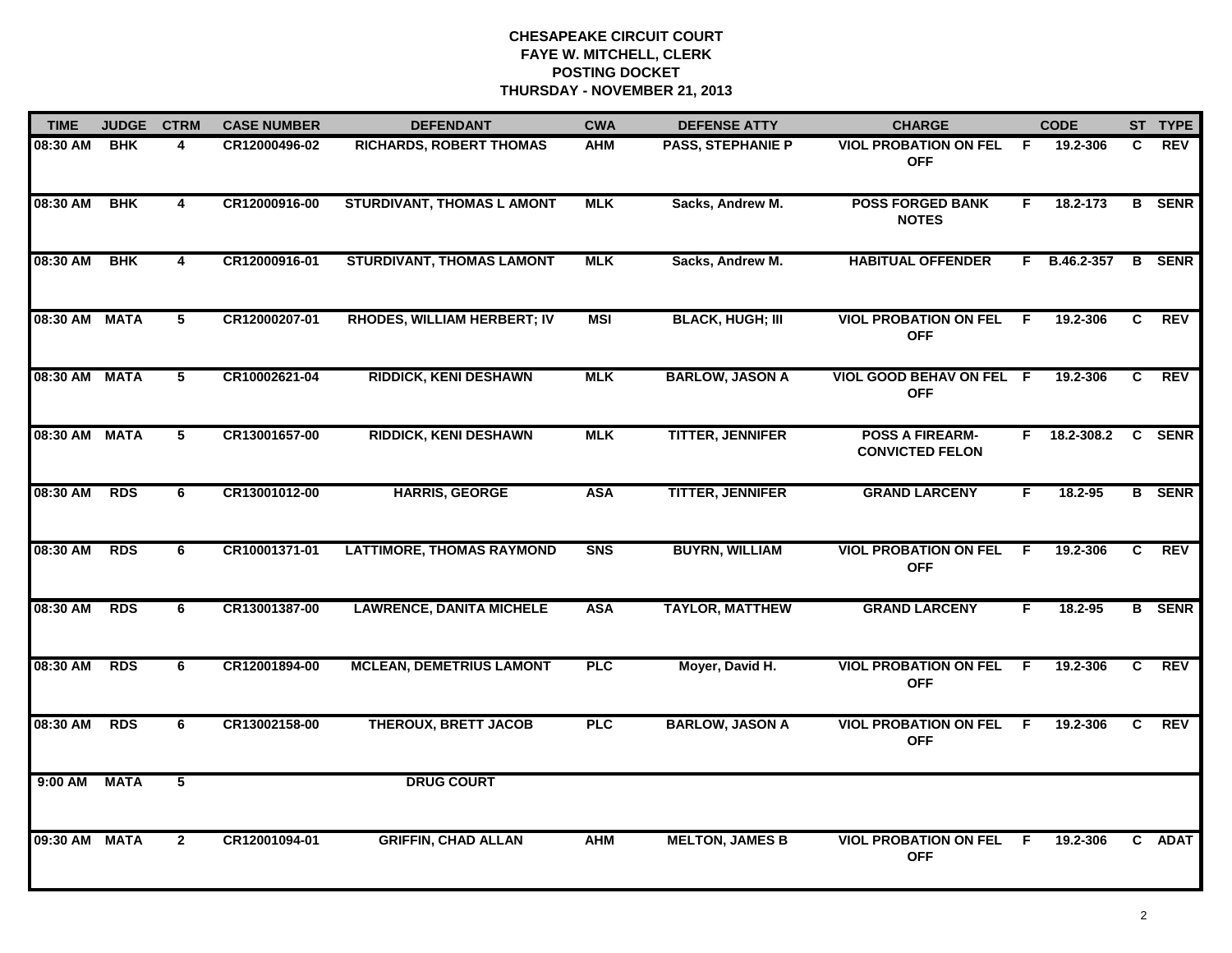| <b>TIME</b>   | <b>JUDGE</b><br><b>CTRM</b> |                | <b>CASE NUMBER</b> | <b>DEFENDANT</b>                  | <b>CWA</b> | <b>DEFENSE ATTY</b>      | <b>CHARGE</b>                                    |    | <b>CODE</b>  |    | ST TYPE       |
|---------------|-----------------------------|----------------|--------------------|-----------------------------------|------------|--------------------------|--------------------------------------------------|----|--------------|----|---------------|
| 08:30 AM      | <b>BHK</b>                  | 4              | CR12000496-02      | RICHARDS, ROBERT THOMAS           | AHM        | <b>PASS, STEPHANIE P</b> | <b>VIOL PROBATION ON FEL</b><br><b>OFF</b>       | F. | 19.2-306     | C. | REV           |
| 08:30 AM      | <b>BHK</b>                  | 4              | CR12000916-00      | <b>STURDIVANT, THOMAS L AMONT</b> | <b>MLK</b> | Sacks, Andrew M.         | <b>POSS FORGED BANK</b><br><b>NOTES</b>          | F. | 18.2-173     |    | <b>B</b> SENR |
| 08:30 AM      | <b>BHK</b>                  | 4              | CR12000916-01      | <b>STURDIVANT, THOMAS LAMONT</b>  | <b>MLK</b> | Sacks, Andrew M.         | <b>HABITUAL OFFENDER</b>                         |    | F B.46.2-357 |    | <b>B</b> SENR |
| 08:30 AM MATA |                             | 5              | CR12000207-01      | RHODES, WILLIAM HERBERT; IV       | <b>MSI</b> | <b>BLACK, HUGH; III</b>  | <b>VIOL PROBATION ON FEL</b><br><b>OFF</b>       | -F | 19.2-306     | C. | <b>REV</b>    |
| 08:30 AM MATA |                             | 5              | CR10002621-04      | <b>RIDDICK, KENI DESHAWN</b>      | <b>MLK</b> | <b>BARLOW, JASON A</b>   | VIOL GOOD BEHAV ON FEL F<br><b>OFF</b>           |    | 19.2-306     | C. | <b>REV</b>    |
| 08:30 AM MATA |                             | 5              | CR13001657-00      | <b>RIDDICK, KENI DESHAWN</b>      | <b>MLK</b> | <b>TITTER, JENNIFER</b>  | <b>POSS A FIREARM-</b><br><b>CONVICTED FELON</b> |    | F 18.2-308.2 | C  | <b>SENR</b>   |
| 08:30 AM      | <b>RDS</b>                  | 6              | CR13001012-00      | <b>HARRIS, GEORGE</b>             | <b>ASA</b> | <b>TITTER, JENNIFER</b>  | <b>GRAND LARCENY</b>                             | F. | 18.2-95      |    | <b>B</b> SENR |
| 08:30 AM      | <b>RDS</b>                  | 6              | CR10001371-01      | <b>LATTIMORE, THOMAS RAYMOND</b>  | <b>SNS</b> | <b>BUYRN, WILLIAM</b>    | <b>VIOL PROBATION ON FEL</b><br><b>OFF</b>       | F  | 19.2-306     | C. | <b>REV</b>    |
| 08:30 AM      | <b>RDS</b>                  | 6              | CR13001387-00      | <b>LAWRENCE, DANITA MICHELE</b>   | <b>ASA</b> | <b>TAYLOR, MATTHEW</b>   | <b>GRAND LARCENY</b>                             | F  | 18.2-95      |    | <b>B</b> SENR |
| 08:30 AM      | <b>RDS</b>                  | 6              | CR12001894-00      | <b>MCLEAN, DEMETRIUS LAMONT</b>   | <b>PLC</b> | Moyer, David H.          | <b>VIOL PROBATION ON FEL</b><br><b>OFF</b>       | -F | 19.2-306     | C  | <b>REV</b>    |
| 08:30 AM      | <b>RDS</b>                  | 6              | CR13002158-00      | <b>THEROUX, BRETT JACOB</b>       | <b>PLC</b> | <b>BARLOW, JASON A</b>   | <b>VIOL PROBATION ON FEL</b><br><b>OFF</b>       | F. | 19.2-306     | C. | <b>REV</b>    |
| 9:00 AM       | <b>MATA</b>                 | $\overline{5}$ |                    | <b>DRUG COURT</b>                 |            |                          |                                                  |    |              |    |               |
| 09:30 AM MATA |                             | $\mathbf{2}$   | CR12001094-01      | <b>GRIFFIN, CHAD ALLAN</b>        | <b>AHM</b> | <b>MELTON, JAMES B</b>   | <b>VIOL PROBATION ON FEL</b><br><b>OFF</b>       | F  | 19.2-306     |    | C ADAT        |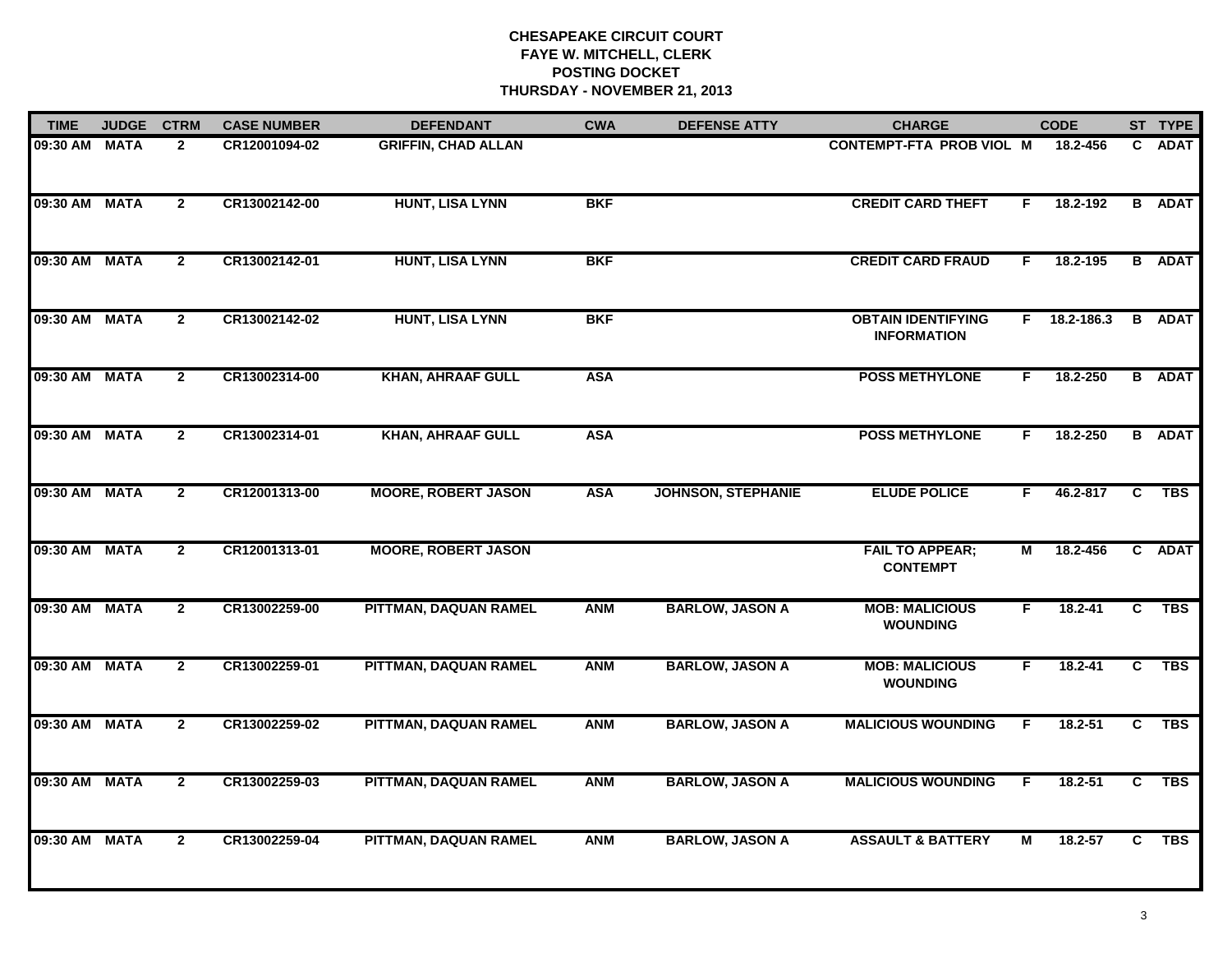| <b>TIME</b>   | <b>JUDGE</b> | <b>CTRM</b>    | <b>CASE NUMBER</b> | <b>DEFENDANT</b>           | <b>CWA</b> | <b>DEFENSE ATTY</b>       | <b>CHARGE</b>                                   |    | <b>CODE</b>  |                | ST TYPE       |
|---------------|--------------|----------------|--------------------|----------------------------|------------|---------------------------|-------------------------------------------------|----|--------------|----------------|---------------|
| 09:30 AM MATA |              | $\mathbf{2}$   | CR12001094-02      | <b>GRIFFIN, CHAD ALLAN</b> |            |                           | <b>CONTEMPT-FTA PROB VIOL M</b>                 |    | 18.2-456     | C.             | <b>ADAT</b>   |
| 09:30 AM MATA |              | $\mathbf{2}$   | CR13002142-00      | <b>HUNT, LISA LYNN</b>     | <b>BKF</b> |                           | <b>CREDIT CARD THEFT</b>                        | F  | 18.2-192     |                | <b>B</b> ADAT |
| 09:30 AM MATA |              | $\mathbf{2}$   | CR13002142-01      | <b>HUNT, LISA LYNN</b>     | <b>BKF</b> |                           | <b>CREDIT CARD FRAUD</b>                        | F. | 18.2-195     |                | <b>B</b> ADAT |
| 09:30 AM MATA |              | $\mathbf{2}$   | CR13002142-02      | <b>HUNT, LISA LYNN</b>     | <b>BKF</b> |                           | <b>OBTAIN IDENTIFYING</b><br><b>INFORMATION</b> |    | F 18.2-186.3 | B              | <b>ADAT</b>   |
| 09:30 AM MATA |              | $\overline{2}$ | CR13002314-00      | <b>KHAN, AHRAAF GULL</b>   | <b>ASA</b> |                           | <b>POSS METHYLONE</b>                           | E  | 18.2-250     |                | <b>B</b> ADAT |
| 09:30 AM MATA |              | $\overline{2}$ | CR13002314-01      | <b>KHAN, AHRAAF GULL</b>   | <b>ASA</b> |                           | <b>POSS METHYLONE</b>                           | F. | 18.2-250     |                | <b>B</b> ADAT |
| 09:30 AM MATA |              | $\overline{2}$ | CR12001313-00      | <b>MOORE, ROBERT JASON</b> | <b>ASA</b> | <b>JOHNSON, STEPHANIE</b> | <b>ELUDE POLICE</b>                             | F. | 46.2-817     | $\overline{c}$ | <b>TBS</b>    |
| 09:30 AM MATA |              | $\mathbf{2}$   | CR12001313-01      | <b>MOORE, ROBERT JASON</b> |            |                           | <b>FAIL TO APPEAR;</b><br><b>CONTEMPT</b>       | М  | 18.2-456     |                | C ADAT        |
| 09:30 AM MATA |              | $\mathbf{2}$   | CR13002259-00      | PITTMAN, DAQUAN RAMEL      | <b>ANM</b> | <b>BARLOW, JASON A</b>    | <b>MOB: MALICIOUS</b><br><b>WOUNDING</b>        | F  | $18.2 - 41$  | C.             | <b>TBS</b>    |
| 09:30 AM MATA |              | $\mathbf{2}$   | CR13002259-01      | PITTMAN, DAQUAN RAMEL      | <b>ANM</b> | <b>BARLOW, JASON A</b>    | <b>MOB: MALICIOUS</b><br><b>WOUNDING</b>        | F  | 18.2-41      | C.             | <b>TBS</b>    |
| 09:30 AM MATA |              | $\overline{2}$ | CR13002259-02      | PITTMAN, DAQUAN RAMEL      | <b>ANM</b> | <b>BARLOW, JASON A</b>    | <b>MALICIOUS WOUNDING</b>                       | F. | 18.2-51      | C              | <b>TBS</b>    |
| 09:30 AM MATA |              | $\overline{2}$ | CR13002259-03      | PITTMAN, DAQUAN RAMEL      | <b>ANM</b> | <b>BARLOW, JASON A</b>    | <b>MALICIOUS WOUNDING</b>                       | F  | 18.2-51      | $\overline{c}$ | <b>TBS</b>    |
| 09:30 AM MATA |              | $\overline{2}$ | CR13002259-04      | PITTMAN, DAQUAN RAMEL      | <b>ANM</b> | <b>BARLOW, JASON A</b>    | <b>ASSAULT &amp; BATTERY</b>                    | M  | 18.2-57      | C.             | <b>TBS</b>    |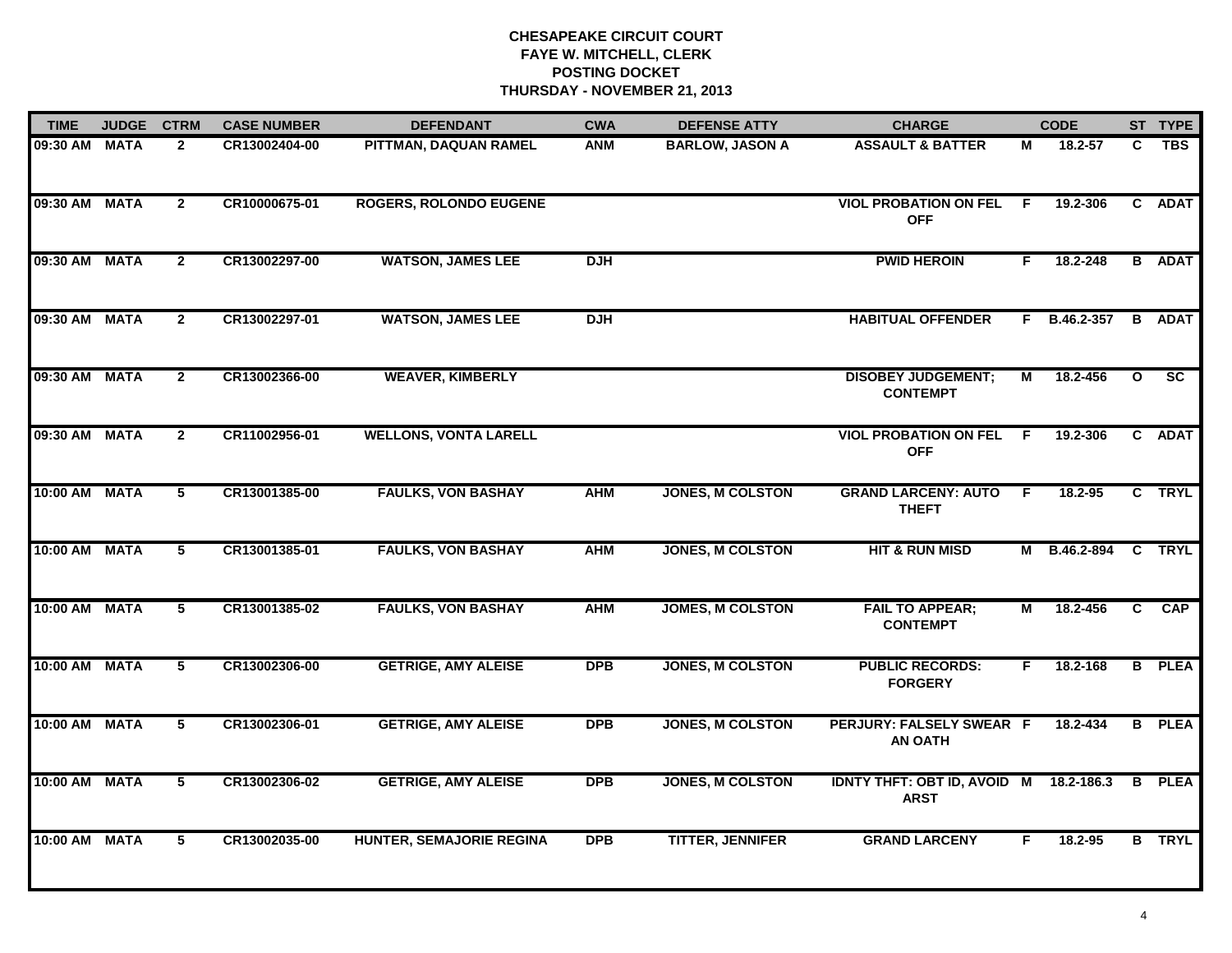| <b>TIME</b>   | <b>JUDGE</b> | <b>CTRM</b>    | <b>CASE NUMBER</b> | <b>DEFENDANT</b>                | <b>CWA</b> | <b>DEFENSE ATTY</b>     | <b>CHARGE</b>                                     |     | <b>CODE</b> |              | ST TYPE                  |
|---------------|--------------|----------------|--------------------|---------------------------------|------------|-------------------------|---------------------------------------------------|-----|-------------|--------------|--------------------------|
| 09:30 AM MATA |              | $\mathbf{2}$   | CR13002404-00      | PITTMAN, DAQUAN RAMEL           | ANM        | <b>BARLOW, JASON A</b>  | <b>ASSAULT &amp; BATTER</b>                       | М   | 18.2-57     | C            | <b>TBS</b>               |
| 09:30 AM MATA |              | $\overline{2}$ | CR10000675-01      | <b>ROGERS, ROLONDO EUGENE</b>   |            |                         | <b>VIOL PROBATION ON FEL</b><br><b>OFF</b>        | -F  | 19.2-306    |              | C ADAT                   |
| 09:30 AM MATA |              | $\overline{2}$ | CR13002297-00      | <b>WATSON, JAMES LEE</b>        | <b>DJH</b> |                         | <b>PWID HEROIN</b>                                | F.  | 18.2-248    |              | <b>B</b> ADAT            |
| 09:30 AM MATA |              | $\mathbf{2}$   | CR13002297-01      | <b>WATSON, JAMES LEE</b>        | <b>DJH</b> |                         | <b>HABITUAL OFFENDER</b>                          | F.  | B.46.2-357  |              | <b>B</b> ADAT            |
| 09:30 AM MATA |              | $\overline{2}$ | CR13002366-00      | <b>WEAVER, KIMBERLY</b>         |            |                         | <b>DISOBEY JUDGEMENT;</b><br><b>CONTEMPT</b>      | М   | 18.2-456    | $\mathbf{o}$ | $\overline{\mathsf{sc}}$ |
| 09:30 AM MATA |              | $\overline{2}$ | CR11002956-01      | <b>WELLONS, VONTA LARELL</b>    |            |                         | <b>VIOL PROBATION ON FEL F</b><br><b>OFF</b>      |     | 19.2-306    |              | C ADAT                   |
| 10:00 AM MATA |              | 5              | CR13001385-00      | <b>FAULKS, VON BASHAY</b>       | <b>AHM</b> | <b>JONES, M COLSTON</b> | <b>GRAND LARCENY: AUTO</b><br><b>THEFT</b>        | - F | 18.2-95     |              | C TRYL                   |
| 10:00 AM MATA |              | 5              | CR13001385-01      | <b>FAULKS, VON BASHAY</b>       | <b>AHM</b> | <b>JONES, M COLSTON</b> | <b>HIT &amp; RUN MISD</b>                         | М   | B.46.2-894  |              | C TRYL                   |
| 10:00 AM MATA |              | 5              | CR13001385-02      | <b>FAULKS, VON BASHAY</b>       | <b>AHM</b> | <b>JOMES, M COLSTON</b> | <b>FAIL TO APPEAR;</b><br><b>CONTEMPT</b>         | М   | 18.2-456    | C.           | <b>CAP</b>               |
| 10:00 AM MATA |              | 5              | CR13002306-00      | <b>GETRIGE, AMY ALEISE</b>      | <b>DPB</b> | <b>JONES, M COLSTON</b> | <b>PUBLIC RECORDS:</b><br><b>FORGERY</b>          | F.  | 18.2-168    |              | <b>B</b> PLEA            |
| 10:00 AM MATA |              | 5              | CR13002306-01      | <b>GETRIGE, AMY ALEISE</b>      | <b>DPB</b> | <b>JONES, M COLSTON</b> | PERJURY: FALSELY SWEAR F<br><b>AN OATH</b>        |     | 18.2-434    |              | <b>B</b> PLEA            |
| 10:00 AM MATA |              | 5              | CR13002306-02      | <b>GETRIGE, AMY ALEISE</b>      | <b>DPB</b> | <b>JONES, M COLSTON</b> | <b>IDNTY THFT: OBT ID, AVOID M</b><br><b>ARST</b> |     | 18.2-186.3  | B            | <b>PLEA</b>              |
| 10:00 AM MATA |              | 5              | CR13002035-00      | <b>HUNTER, SEMAJORIE REGINA</b> | <b>DPB</b> | <b>TITTER, JENNIFER</b> | <b>GRAND LARCENY</b>                              | F.  | $18.2 - 95$ |              | <b>B</b> TRYL            |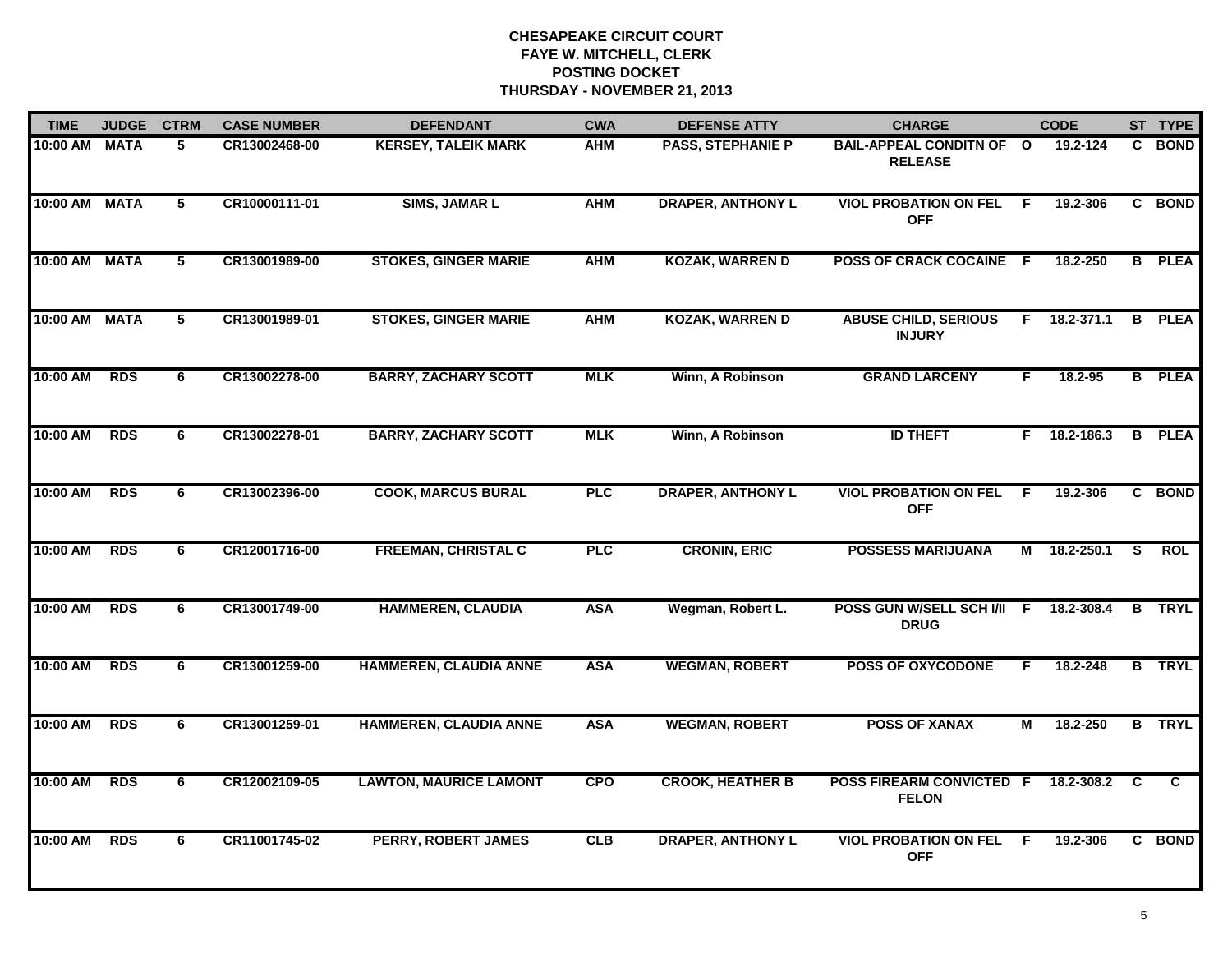| <b>TIME</b>   | <b>JUDGE</b> | <b>CTRM</b>     | <b>CASE NUMBER</b> | <b>DEFENDANT</b>              | <b>CWA</b> | <b>DEFENSE ATTY</b>      | <b>CHARGE</b>                                |    | <b>CODE</b>    |    | ST TYPE        |
|---------------|--------------|-----------------|--------------------|-------------------------------|------------|--------------------------|----------------------------------------------|----|----------------|----|----------------|
| 10:00 AM MATA |              | 5.              | CR13002468-00      | <b>KERSEY, TALEIK MARK</b>    | <b>AHM</b> | <b>PASS, STEPHANIE P</b> | BAIL-APPEAL CONDITN OF O<br><b>RELEASE</b>   |    | 19.2-124       |    | C BOND         |
| 10:00 AM      | <b>MATA</b>  | $5\overline{)}$ | CR10000111-01      | <b>SIMS, JAMAR L</b>          | <b>AHM</b> | <b>DRAPER, ANTHONY L</b> | <b>VIOL PROBATION ON FEL</b><br><b>OFF</b>   | F  | 19.2-306       |    | C BOND         |
| 10:00 AM      | <b>MATA</b>  | 5               | CR13001989-00      | <b>STOKES, GINGER MARIE</b>   | <b>AHM</b> | <b>KOZAK, WARREN D</b>   | <b>POSS OF CRACK COCAINE F</b>               |    | 18.2-250       |    | <b>B</b> PLEA  |
| 10:00 AM      | <b>MATA</b>  | 5               | CR13001989-01      | <b>STOKES, GINGER MARIE</b>   | <b>AHM</b> | <b>KOZAK, WARREN D</b>   | <b>ABUSE CHILD, SERIOUS</b><br><b>INJURY</b> | F. | 18.2-371.1     |    | <b>B</b> PLEA  |
| 10:00 AM      | <b>RDS</b>   | 6               | CR13002278-00      | <b>BARRY, ZACHARY SCOTT</b>   | <b>MLK</b> | Winn, A Robinson         | <b>GRAND LARCENY</b>                         | F. | 18.2-95        |    | <b>B</b> PLEA  |
| 10:00 AM      | <b>RDS</b>   | 6               | CR13002278-01      | <b>BARRY, ZACHARY SCOTT</b>   | <b>MLK</b> | Winn, A Robinson         | <b>ID THEFT</b>                              |    | $F$ 18.2-186.3 |    | <b>B</b> PLEA  |
| 10:00 AM      | <b>RDS</b>   | 6               | CR13002396-00      | <b>COOK, MARCUS BURAL</b>     | <b>PLC</b> | <b>DRAPER, ANTHONY L</b> | <b>VIOL PROBATION ON FEL</b><br><b>OFF</b>   | F. | 19.2-306       |    | C BOND         |
| 10:00 AM      | <b>RDS</b>   | 6               | CR12001716-00      | <b>FREEMAN, CHRISTAL C</b>    | PLC        | <b>CRONIN, ERIC</b>      | <b>POSSESS MARIJUANA</b>                     |    | M 18.2-250.1   | S. | <b>ROL</b>     |
| 10:00 AM      | <b>RDS</b>   | 6               | CR13001749-00      | <b>HAMMEREN, CLAUDIA</b>      | <b>ASA</b> | Wegman, Robert L.        | POSS GUN W/SELL SCH I/II F<br><b>DRUG</b>    |    | 18.2-308.4     |    | <b>B</b> TRYL  |
| 10:00 AM      | <b>RDS</b>   | 6               | CR13001259-00      | HAMMEREN, CLAUDIA ANNE        | <b>ASA</b> | <b>WEGMAN, ROBERT</b>    | <b>POSS OF OXYCODONE</b>                     | F. | 18.2-248       |    | <b>B</b> TRYL  |
| 10:00 AM      | RDS          | 6               | CR13001259-01      | HAMMEREN, CLAUDIA ANNE        | <b>ASA</b> | <b>WEGMAN, ROBERT</b>    | <b>POSS OF XANAX</b>                         | М  | 18.2-250       |    | <b>B</b> TRYL  |
| 10:00 AM      | <b>RDS</b>   | 6               | CR12002109-05      | <b>LAWTON, MAURICE LAMONT</b> | CPO        | <b>CROOK, HEATHER B</b>  | POSS FIREARM CONVICTED F<br><b>FELON</b>     |    | 18.2-308.2     | C  | $\overline{c}$ |
| 10:00 AM      | <b>RDS</b>   | 6               | CR11001745-02      | <b>PERRY, ROBERT JAMES</b>    | <b>CLB</b> | <b>DRAPER, ANTHONY L</b> | <b>VIOL PROBATION ON FEL</b><br><b>OFF</b>   | E  | 19.2-306       |    | C BOND         |